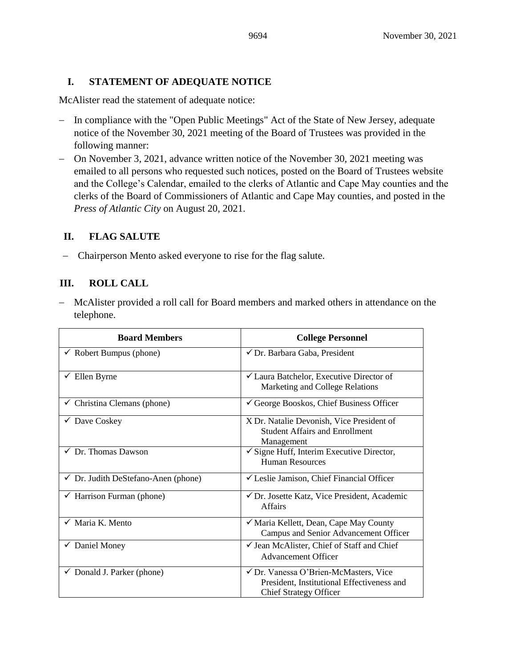### **I. STATEMENT OF ADEQUATE NOTICE**

McAlister read the statement of adequate notice:

- − In compliance with the "Open Public Meetings" Act of the State of New Jersey, adequate notice of the November 30, 2021 meeting of the Board of Trustees was provided in the following manner:
- − On November 3, 2021, advance written notice of the November 30, 2021 meeting was emailed to all persons who requested such notices, posted on the Board of Trustees website and the College's Calendar, emailed to the clerks of Atlantic and Cape May counties and the clerks of the Board of Commissioners of Atlantic and Cape May counties, and posted in the *Press of Atlantic City* on August 20, 2021.

# **II. FLAG SALUTE**

− Chairperson Mento asked everyone to rise for the flag salute.

# **III. ROLL CALL**

− McAlister provided a roll call for Board members and marked others in attendance on the telephone.

| <b>Board Members</b>                           | <b>College Personnel</b>                                                                                             |
|------------------------------------------------|----------------------------------------------------------------------------------------------------------------------|
| Robert Bumpus (phone)                          | √ Dr. Barbara Gaba, President                                                                                        |
| $\checkmark$ Ellen Byrne                       | $\checkmark$ Laura Batchelor, Executive Director of<br>Marketing and College Relations                               |
| $\checkmark$ Christina Clemans (phone)         | $\checkmark$ George Booskos, Chief Business Officer                                                                  |
| $\checkmark$ Dave Coskey                       | X Dr. Natalie Devonish, Vice President of<br><b>Student Affairs and Enrollment</b><br>Management                     |
| $\checkmark$ Dr. Thomas Dawson                 | $\checkmark$ Signe Huff, Interim Executive Director,<br><b>Human Resources</b>                                       |
| $\checkmark$ Dr. Judith DeStefano-Anen (phone) | └ Leslie Jamison, Chief Financial Officer                                                                            |
| $\checkmark$ Harrison Furman (phone)           | ✔ Dr. Josette Katz, Vice President, Academic<br><b>Affairs</b>                                                       |
| $\checkmark$ Maria K. Mento                    | √ Maria Kellett, Dean, Cape May County<br>Campus and Senior Advancement Officer                                      |
| $\checkmark$ Daniel Money                      | √ Jean McAlister, Chief of Staff and Chief<br><b>Advancement Officer</b>                                             |
| Donald J. Parker (phone)                       | √ Dr. Vanessa O'Brien-McMasters, Vice<br>President, Institutional Effectiveness and<br><b>Chief Strategy Officer</b> |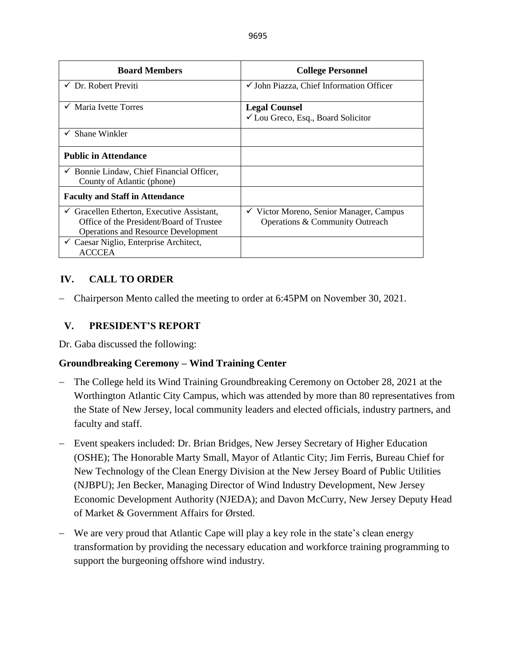| <b>Board Members</b>                                                                                                                            | <b>College Personnel</b>                                                                 |
|-------------------------------------------------------------------------------------------------------------------------------------------------|------------------------------------------------------------------------------------------|
| $\checkmark$ Dr. Robert Previti                                                                                                                 | $\checkmark$ John Piazza, Chief Information Officer                                      |
| $\checkmark$ Maria Ivette Torres                                                                                                                | <b>Legal Counsel</b><br>√ Lou Greco, Esq., Board Solicitor                               |
| Shane Winkler<br>$\checkmark$                                                                                                                   |                                                                                          |
| <b>Public in Attendance</b>                                                                                                                     |                                                                                          |
| $\checkmark$ Bonnie Lindaw, Chief Financial Officer,<br>County of Atlantic (phone)                                                              |                                                                                          |
| <b>Faculty and Staff in Attendance</b>                                                                                                          |                                                                                          |
| $\checkmark$ Gracellen Etherton, Executive Assistant,<br>Office of the President/Board of Trustee<br><b>Operations and Resource Development</b> | Victor Moreno, Senior Manager, Campus<br>$\checkmark$<br>Operations & Community Outreach |
| $\checkmark$ Caesar Niglio, Enterprise Architect,<br><b>ACCCEA</b>                                                                              |                                                                                          |

# **IV. CALL TO ORDER**

− Chairperson Mento called the meeting to order at 6:45PM on November 30, 2021.

### **V. PRESIDENT'S REPORT**

Dr. Gaba discussed the following:

### **Groundbreaking Ceremony – Wind Training Center**

- The College held its Wind Training Groundbreaking Ceremony on October 28, 2021 at the Worthington Atlantic City Campus, which was attended by more than 80 representatives from the State of New Jersey, local community leaders and elected officials, industry partners, and faculty and staff.
- − Event speakers included: Dr. Brian Bridges, New Jersey Secretary of Higher Education (OSHE); The Honorable Marty Small, Mayor of Atlantic City; Jim Ferris, Bureau Chief for New Technology of the Clean Energy Division at the New Jersey Board of Public Utilities (NJBPU); Jen Becker, Managing Director of Wind Industry Development, New Jersey Economic Development Authority (NJEDA); and Davon McCurry, New Jersey Deputy Head of Market & Government Affairs for Ørsted.
- − We are very proud that Atlantic Cape will play a key role in the state's clean energy transformation by providing the necessary education and workforce training programming to support the burgeoning offshore wind industry.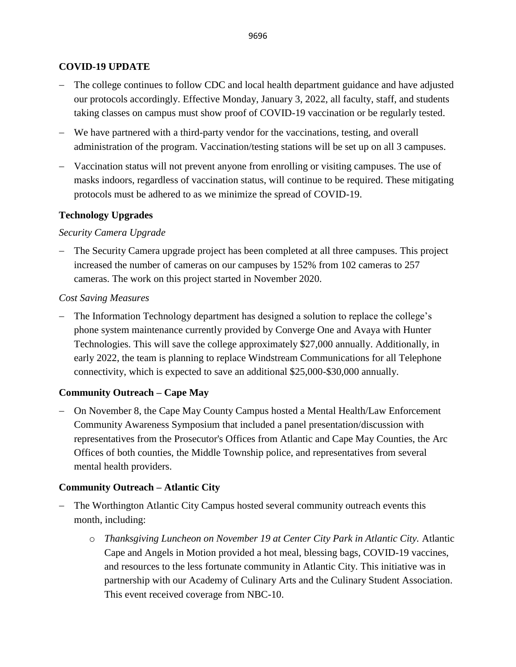### **COVID-19 UPDATE**

- − The college continues to follow CDC and local health department guidance and have adjusted our protocols accordingly. Effective Monday, January 3, 2022, all faculty, staff, and students taking classes on campus must show proof of COVID-19 vaccination or be regularly tested.
- − We have partnered with a third-party vendor for the vaccinations, testing, and overall administration of the program. Vaccination/testing stations will be set up on all 3 campuses.
- − Vaccination status will not prevent anyone from enrolling or visiting campuses. The use of masks indoors, regardless of vaccination status, will continue to be required. These mitigating protocols must be adhered to as we minimize the spread of COVID-19.

#### **Technology Upgrades**

#### *Security Camera Upgrade*

− The Security Camera upgrade project has been completed at all three campuses. This project increased the number of cameras on our campuses by 152% from 102 cameras to 257 cameras. The work on this project started in November 2020.

#### *Cost Saving Measures*

− The Information Technology department has designed a solution to replace the college's phone system maintenance currently provided by Converge One and Avaya with Hunter Technologies. This will save the college approximately \$27,000 annually. Additionally, in early 2022, the team is planning to replace Windstream Communications for all Telephone connectivity, which is expected to save an additional \$25,000-\$30,000 annually.

### **Community Outreach – Cape May**

− On November 8, the Cape May County Campus hosted a Mental Health/Law Enforcement Community Awareness Symposium that included a panel presentation/discussion with representatives from the Prosecutor's Offices from Atlantic and Cape May Counties, the Arc Offices of both counties, the Middle Township police, and representatives from several mental health providers.

#### **Community Outreach – Atlantic City**

- − The Worthington Atlantic City Campus hosted several community outreach events this month, including:
	- o *Thanksgiving Luncheon on November 19 at Center City Park in Atlantic City.* Atlantic Cape and Angels in Motion provided a hot meal, blessing bags, COVID-19 vaccines, and resources to the less fortunate community in Atlantic City. This initiative was in partnership with our Academy of Culinary Arts and the Culinary Student Association. This event received coverage from NBC-10.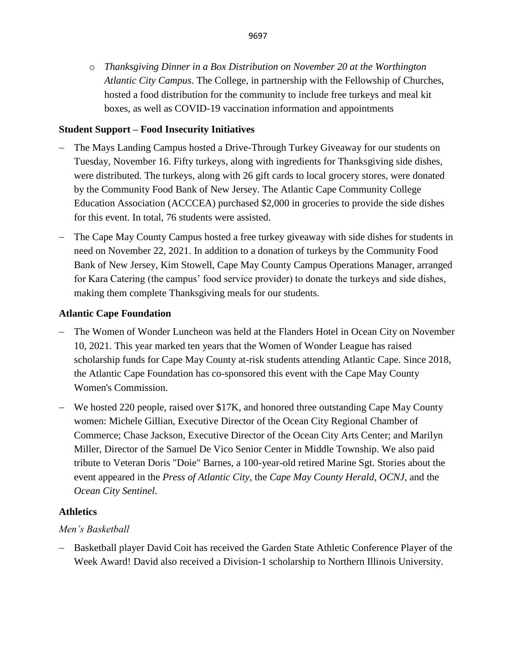o *Thanksgiving Dinner in a Box Distribution on November 20 at the Worthington Atlantic City Campus*. The College, in partnership with the Fellowship of Churches, hosted a food distribution for the community to include free turkeys and meal kit boxes, as well as COVID-19 vaccination information and appointments

# **Student Support – Food Insecurity Initiatives**

- − The Mays Landing Campus hosted a Drive-Through Turkey Giveaway for our students on Tuesday, November 16. Fifty turkeys, along with ingredients for Thanksgiving side dishes, were distributed. The turkeys, along with 26 gift cards to local grocery stores, were donated by the Community Food Bank of New Jersey. The Atlantic Cape Community College Education Association (ACCCEA) purchased \$2,000 in groceries to provide the side dishes for this event. In total, 76 students were assisted.
- − The Cape May County Campus hosted a free turkey giveaway with side dishes for students in need on November 22, 2021. In addition to a donation of turkeys by the Community Food Bank of New Jersey, Kim Stowell, Cape May County Campus Operations Manager, arranged for Kara Catering (the campus' food service provider) to donate the turkeys and side dishes, making them complete Thanksgiving meals for our students.

### **Atlantic Cape Foundation**

- − The Women of Wonder Luncheon was held at the Flanders Hotel in Ocean City on November 10, 2021. This year marked ten years that the Women of Wonder League has raised scholarship funds for Cape May County at-risk students attending Atlantic Cape. Since 2018, the Atlantic Cape Foundation has co-sponsored this event with the Cape May County Women's Commission.
- − We hosted 220 people, raised over \$17K, and honored three outstanding Cape May County women: Michele Gillian, Executive Director of the Ocean City Regional Chamber of Commerce; Chase Jackson, Executive Director of the Ocean City Arts Center; and Marilyn Miller, Director of the Samuel De Vico Senior Center in Middle Township. We also paid tribute to Veteran Doris "Doie" Barnes, a 100-year-old retired Marine Sgt. Stories about the event appeared in the *Press of Atlantic City*, the *Cape May County Herald*, *OCNJ*, and the *Ocean City Sentinel*.

### **Athletics**

# *Men's Basketball*

− Basketball player David Coit has received the Garden State Athletic Conference Player of the Week Award! David also received a Division-1 scholarship to Northern Illinois University.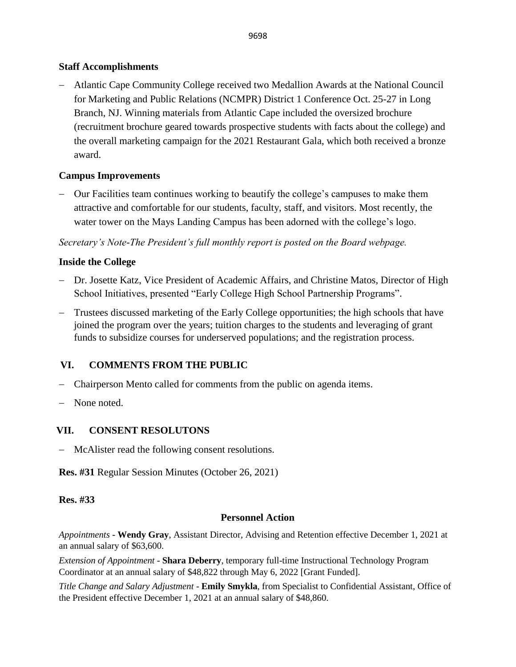# **Staff Accomplishments**

− Atlantic Cape Community College received two Medallion Awards at the National Council for Marketing and Public Relations (NCMPR) District 1 Conference Oct. 25-27 in Long Branch, NJ. Winning materials from Atlantic Cape included the oversized brochure (recruitment brochure geared towards prospective students with facts about the college) and the overall marketing campaign for the 2021 Restaurant Gala, which both received a bronze award.

# **Campus Improvements**

− Our Facilities team continues working to beautify the college's campuses to make them attractive and comfortable for our students, faculty, staff, and visitors. Most recently, the water tower on the Mays Landing Campus has been adorned with the college's logo.

*Secretary's Note-The President's full monthly report is posted on the Board webpage.*

# **Inside the College**

- − Dr. Josette Katz, Vice President of Academic Affairs, and Christine Matos, Director of High School Initiatives, presented "Early College High School Partnership Programs".
- − Trustees discussed marketing of the Early College opportunities; the high schools that have joined the program over the years; tuition charges to the students and leveraging of grant funds to subsidize courses for underserved populations; and the registration process.

# **VI. COMMENTS FROM THE PUBLIC**

- − Chairperson Mento called for comments from the public on agenda items.
- None noted.

# **VII. CONSENT RESOLUTONS**

− McAlister read the following consent resolutions.

**Res. #31** Regular Session Minutes (October 26, 2021)

### **Res. #33**

### **Personnel Action**

*Appointments -* **Wendy Gray**, Assistant Director, Advising and Retention effective December 1, 2021 at an annual salary of \$63,600.

*Extension of Appointment* - **Shara Deberry**, temporary full-time Instructional Technology Program Coordinator at an annual salary of \$48,822 through May 6, 2022 [Grant Funded].

*Title Change and Salary Adjustment* - **Emily Smykla**, from Specialist to Confidential Assistant, Office of the President effective December 1, 2021 at an annual salary of \$48,860.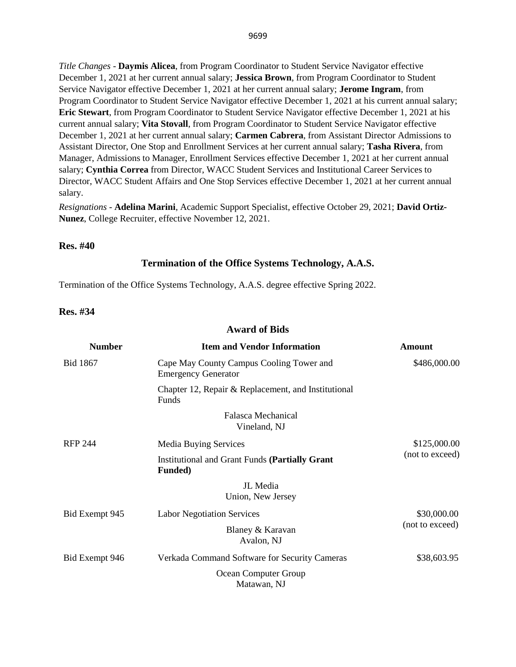*Title Changes* - **Daymis Alicea**, from Program Coordinator to Student Service Navigator effective December 1, 2021 at her current annual salary; **Jessica Brown**, from Program Coordinator to Student Service Navigator effective December 1, 2021 at her current annual salary; **Jerome Ingram**, from Program Coordinator to Student Service Navigator effective December 1, 2021 at his current annual salary; **Eric Stewart**, from Program Coordinator to Student Service Navigator effective December 1, 2021 at his current annual salary; **Vita Stovall**, from Program Coordinator to Student Service Navigator effective December 1, 2021 at her current annual salary; **Carmen Cabrera**, from Assistant Director Admissions to Assistant Director, One Stop and Enrollment Services at her current annual salary; **Tasha Rivera**, from Manager, Admissions to Manager, Enrollment Services effective December 1, 2021 at her current annual salary; **Cynthia Correa** from Director, WACC Student Services and Institutional Career Services to Director, WACC Student Affairs and One Stop Services effective December 1, 2021 at her current annual salary.

*Resignations* - **Adelina Marini**, Academic Support Specialist, effective October 29, 2021; **David Ortiz-Nunez**, College Recruiter, effective November 12, 2021.

#### **Res. #40**

#### **Termination of the Office Systems Technology, A.A.S.**

Termination of the Office Systems Technology, A.A.S. degree effective Spring 2022.

**Res. #34**

#### **Award of Bids**

| <b>Number</b>  | <b>Item and Vendor Information</b>                                       | <b>Amount</b>   |
|----------------|--------------------------------------------------------------------------|-----------------|
| Bid 1867       | Cape May County Campus Cooling Tower and<br><b>Emergency Generator</b>   | \$486,000.00    |
|                | Chapter 12, Repair & Replacement, and Institutional<br>Funds             |                 |
|                | Falasca Mechanical<br>Vineland, NJ                                       |                 |
| <b>RFP 244</b> | <b>Media Buying Services</b>                                             | \$125,000.00    |
|                | <b>Institutional and Grant Funds (Partially Grant</b><br><b>Funded</b> ) | (not to exceed) |
|                | JL Media<br>Union, New Jersey                                            |                 |
| Bid Exempt 945 | <b>Labor Negotiation Services</b>                                        | \$30,000.00     |
|                | Blaney & Karavan<br>Avalon, NJ                                           | (not to exceed) |
| Bid Exempt 946 | Verkada Command Software for Security Cameras                            | \$38,603.95     |
|                | Ocean Computer Group<br>Matawan, NJ                                      |                 |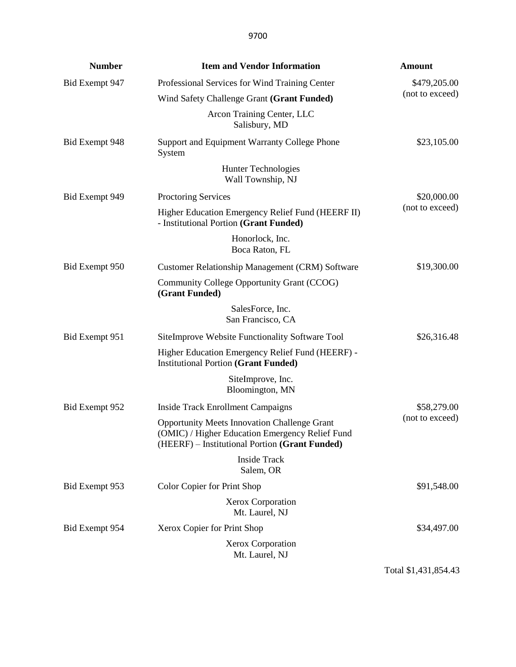| <b>Number</b>  | <b>Item and Vendor Information</b>                                                                                                                       | <b>Amount</b>   |
|----------------|----------------------------------------------------------------------------------------------------------------------------------------------------------|-----------------|
| Bid Exempt 947 | Professional Services for Wind Training Center                                                                                                           | \$479,205.00    |
|                | Wind Safety Challenge Grant (Grant Funded)                                                                                                               | (not to exceed) |
|                | Arcon Training Center, LLC<br>Salisbury, MD                                                                                                              |                 |
| Bid Exempt 948 | Support and Equipment Warranty College Phone<br>System                                                                                                   | \$23,105.00     |
|                | Hunter Technologies<br>Wall Township, NJ                                                                                                                 |                 |
| Bid Exempt 949 | <b>Proctoring Services</b>                                                                                                                               | \$20,000.00     |
|                | Higher Education Emergency Relief Fund (HEERF II)<br>- Institutional Portion (Grant Funded)                                                              | (not to exceed) |
|                | Honorlock, Inc.<br>Boca Raton, FL                                                                                                                        |                 |
| Bid Exempt 950 | Customer Relationship Management (CRM) Software                                                                                                          | \$19,300.00     |
|                | Community College Opportunity Grant (CCOG)<br>(Grant Funded)                                                                                             |                 |
|                | SalesForce, Inc.<br>San Francisco, CA                                                                                                                    |                 |
| Bid Exempt 951 | SiteImprove Website Functionality Software Tool                                                                                                          | \$26,316.48     |
|                | Higher Education Emergency Relief Fund (HEERF) -<br><b>Institutional Portion (Grant Funded)</b>                                                          |                 |
|                | SiteImprove, Inc.<br>Bloomington, MN                                                                                                                     |                 |
| Bid Exempt 952 | <b>Inside Track Enrollment Campaigns</b>                                                                                                                 | \$58,279.00     |
|                | <b>Opportunity Meets Innovation Challenge Grant</b><br>(OMIC) / Higher Education Emergency Relief Fund<br>(HEERF) - Institutional Portion (Grant Funded) | (not to exceed) |
|                | Inside Track<br>Salem, OR                                                                                                                                |                 |
| Bid Exempt 953 | Color Copier for Print Shop                                                                                                                              | \$91,548.00     |
|                | <b>Xerox Corporation</b><br>Mt. Laurel, NJ                                                                                                               |                 |
| Bid Exempt 954 | Xerox Copier for Print Shop                                                                                                                              | \$34,497.00     |
|                | Xerox Corporation<br>Mt. Laurel, NJ                                                                                                                      |                 |

Total \$1,431,854.43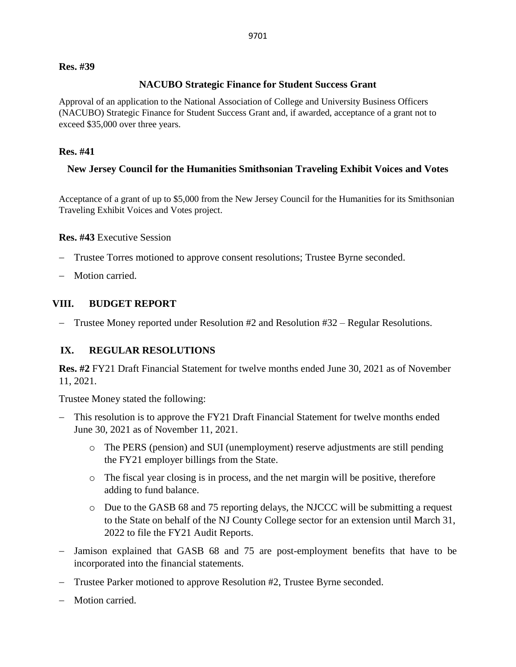#### **Res. #39**

#### **NACUBO Strategic Finance for Student Success Grant**

Approval of an application to the National Association of College and University Business Officers (NACUBO) Strategic Finance for Student Success Grant and, if awarded, acceptance of a grant not to exceed \$35,000 over three years.

#### **Res. #41**

#### **New Jersey Council for the Humanities Smithsonian Traveling Exhibit Voices and Votes**

Acceptance of a grant of up to \$5,000 from the New Jersey Council for the Humanities for its Smithsonian Traveling Exhibit Voices and Votes project.

#### **Res. #43** Executive Session

- Trustee Torres motioned to approve consent resolutions; Trustee Byrne seconded.
- − Motion carried.

#### **VIII. BUDGET REPORT**

− Trustee Money reported under Resolution #2 and Resolution #32 – Regular Resolutions.

### **IX. REGULAR RESOLUTIONS**

**Res. #2** FY21 Draft Financial Statement for twelve months ended June 30, 2021 as of November 11, 2021.

Trustee Money stated the following:

- This resolution is to approve the FY21 Draft Financial Statement for twelve months ended June 30, 2021 as of November 11, 2021.
	- o The PERS (pension) and SUI (unemployment) reserve adjustments are still pending the FY21 employer billings from the State.
	- o The fiscal year closing is in process, and the net margin will be positive, therefore adding to fund balance.
	- o Due to the GASB 68 and 75 reporting delays, the NJCCC will be submitting a request to the State on behalf of the NJ County College sector for an extension until March 31, 2022 to file the FY21 Audit Reports.
- Jamison explained that GASB 68 and 75 are post-employment benefits that have to be incorporated into the financial statements.
- − Trustee Parker motioned to approve Resolution #2, Trustee Byrne seconded.
- − Motion carried.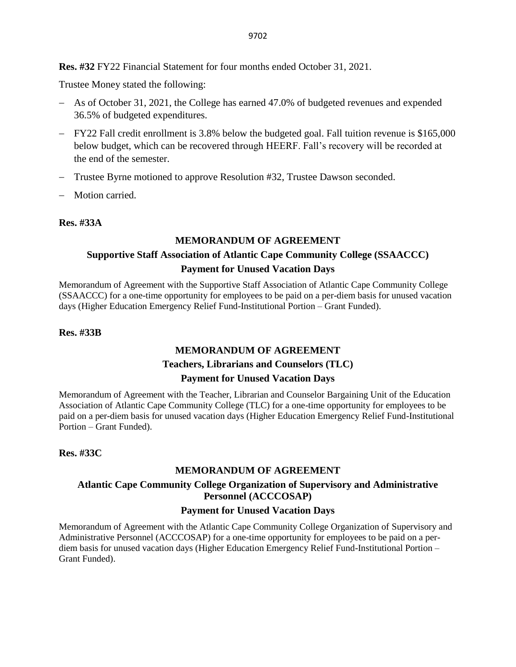**Res. #32** FY22 Financial Statement for four months ended October 31, 2021.

Trustee Money stated the following:

- − As of October 31, 2021, the College has earned 47.0% of budgeted revenues and expended 36.5% of budgeted expenditures.
- − FY22 Fall credit enrollment is 3.8% below the budgeted goal. Fall tuition revenue is \$165,000 below budget, which can be recovered through HEERF. Fall's recovery will be recorded at the end of the semester.
- − Trustee Byrne motioned to approve Resolution #32, Trustee Dawson seconded.
- − Motion carried.

#### **Res. #33A**

#### **MEMORANDUM OF AGREEMENT**

# **Supportive Staff Association of Atlantic Cape Community College (SSAACCC) Payment for Unused Vacation Days**

Memorandum of Agreement with the Supportive Staff Association of Atlantic Cape Community College (SSAACCC) for a one-time opportunity for employees to be paid on a per-diem basis for unused vacation days (Higher Education Emergency Relief Fund-Institutional Portion – Grant Funded).

#### **Res. #33B**

### **MEMORANDUM OF AGREEMENT**

#### **Teachers, Librarians and Counselors (TLC)**

#### **Payment for Unused Vacation Days**

Memorandum of Agreement with the Teacher, Librarian and Counselor Bargaining Unit of the Education Association of Atlantic Cape Community College (TLC) for a one-time opportunity for employees to be paid on a per-diem basis for unused vacation days (Higher Education Emergency Relief Fund-Institutional Portion – Grant Funded).

#### **Res. #33C**

#### **MEMORANDUM OF AGREEMENT**

#### **Atlantic Cape Community College Organization of Supervisory and Administrative Personnel (ACCCOSAP)**

#### **Payment for Unused Vacation Days**

Memorandum of Agreement with the Atlantic Cape Community College Organization of Supervisory and Administrative Personnel (ACCCOSAP) for a one-time opportunity for employees to be paid on a perdiem basis for unused vacation days (Higher Education Emergency Relief Fund-Institutional Portion – Grant Funded).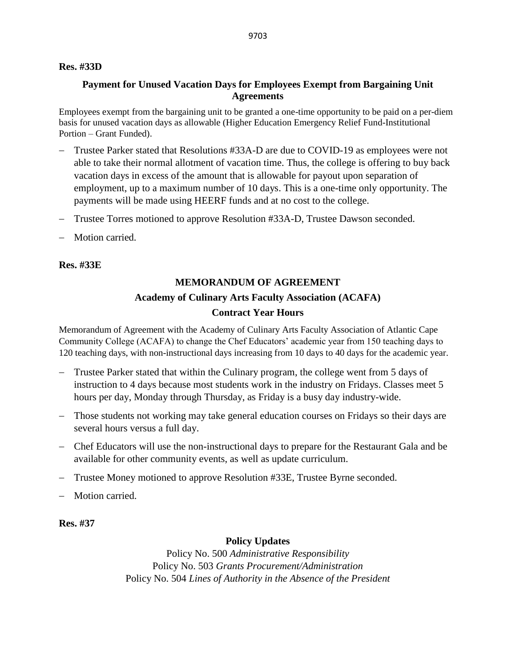#### **Res. #33D**

#### **Payment for Unused Vacation Days for Employees Exempt from Bargaining Unit Agreements**

Employees exempt from the bargaining unit to be granted a one-time opportunity to be paid on a per-diem basis for unused vacation days as allowable (Higher Education Emergency Relief Fund-Institutional Portion – Grant Funded).

- − Trustee Parker stated that Resolutions #33A-D are due to COVID-19 as employees were not able to take their normal allotment of vacation time. Thus, the college is offering to buy back vacation days in excess of the amount that is allowable for payout upon separation of employment, up to a maximum number of 10 days. This is a one-time only opportunity. The payments will be made using HEERF funds and at no cost to the college.
- − Trustee Torres motioned to approve Resolution #33A-D, Trustee Dawson seconded.
- − Motion carried.

**Res. #33E**

# **MEMORANDUM OF AGREEMENT Academy of Culinary Arts Faculty Association (ACAFA) Contract Year Hours**

Memorandum of Agreement with the Academy of Culinary Arts Faculty Association of Atlantic Cape Community College (ACAFA) to change the Chef Educators' academic year from 150 teaching days to 120 teaching days, with non-instructional days increasing from 10 days to 40 days for the academic year.

- − Trustee Parker stated that within the Culinary program, the college went from 5 days of instruction to 4 days because most students work in the industry on Fridays. Classes meet 5 hours per day, Monday through Thursday, as Friday is a busy day industry-wide.
- − Those students not working may take general education courses on Fridays so their days are several hours versus a full day.
- − Chef Educators will use the non-instructional days to prepare for the Restaurant Gala and be available for other community events, as well as update curriculum.
- − Trustee Money motioned to approve Resolution #33E, Trustee Byrne seconded.
- Motion carried.

**Res. #37**

#### **Policy Updates**

Policy No. 500 *Administrative Responsibility* Policy No. 503 *Grants Procurement/Administration* Policy No. 504 *Lines of Authority in the Absence of the President*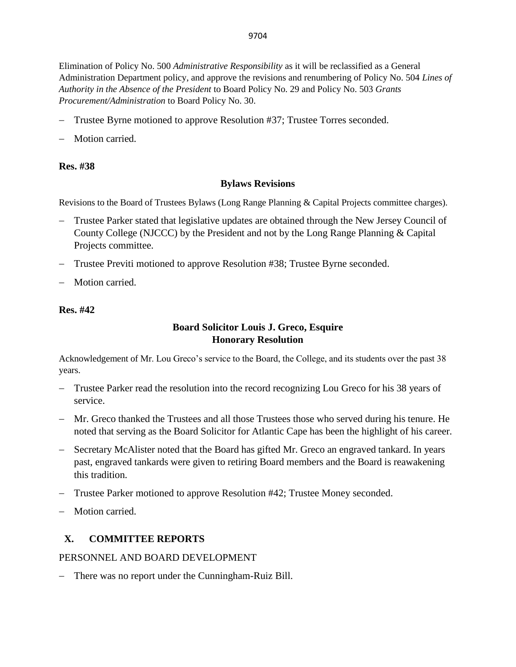Elimination of Policy No. 500 *Administrative Responsibility* as it will be reclassified as a General Administration Department policy, and approve the revisions and renumbering of Policy No. 504 *Lines of Authority in the Absence of the President* to Board Policy No. 29 and Policy No. 503 *Grants Procurement/Administration* to Board Policy No. 30.

- − Trustee Byrne motioned to approve Resolution #37; Trustee Torres seconded.
- Motion carried.

### **Res. #38**

#### **Bylaws Revisions**

Revisions to the Board of Trustees Bylaws (Long Range Planning & Capital Projects committee charges).

- Trustee Parker stated that legislative updates are obtained through the New Jersey Council of County College (NJCCC) by the President and not by the Long Range Planning & Capital Projects committee.
- − Trustee Previti motioned to approve Resolution #38; Trustee Byrne seconded.
- Motion carried.

#### **Res. #42**

### **Board Solicitor Louis J. Greco, Esquire Honorary Resolution**

Acknowledgement of Mr. Lou Greco's service to the Board, the College, and its students over the past 38 years.

- − Trustee Parker read the resolution into the record recognizing Lou Greco for his 38 years of service.
- − Mr. Greco thanked the Trustees and all those Trustees those who served during his tenure. He noted that serving as the Board Solicitor for Atlantic Cape has been the highlight of his career.
- − Secretary McAlister noted that the Board has gifted Mr. Greco an engraved tankard. In years past, engraved tankards were given to retiring Board members and the Board is reawakening this tradition.
- − Trustee Parker motioned to approve Resolution #42; Trustee Money seconded.
- − Motion carried.

# **X. COMMITTEE REPORTS**

### PERSONNEL AND BOARD DEVELOPMENT

− There was no report under the Cunningham-Ruiz Bill.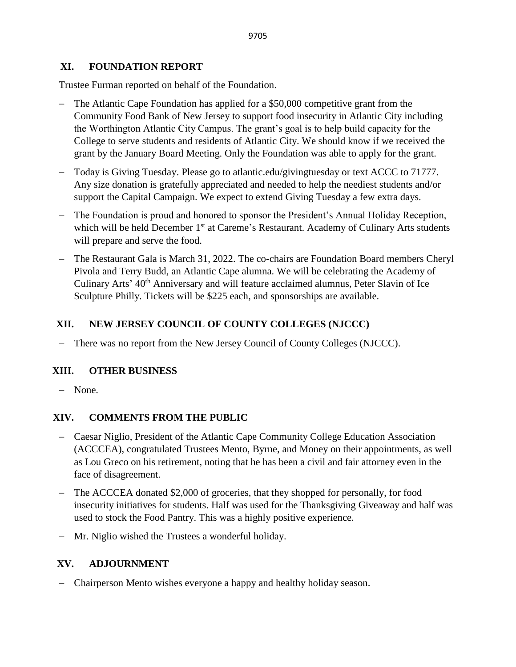### **XI. FOUNDATION REPORT**

Trustee Furman reported on behalf of the Foundation.

- − The Atlantic Cape Foundation has applied for a \$50,000 competitive grant from the Community Food Bank of New Jersey to support food insecurity in Atlantic City including the Worthington Atlantic City Campus. The grant's goal is to help build capacity for the College to serve students and residents of Atlantic City. We should know if we received the grant by the January Board Meeting. Only the Foundation was able to apply for the grant.
- − Today is Giving Tuesday. Please go to atlantic.edu/givingtuesday or text ACCC to 71777. Any size donation is gratefully appreciated and needed to help the neediest students and/or support the Capital Campaign. We expect to extend Giving Tuesday a few extra days.
- The Foundation is proud and honored to sponsor the President's Annual Holiday Reception, which will be held December  $1<sup>st</sup>$  at Careme's Restaurant. Academy of Culinary Arts students will prepare and serve the food.
- − The Restaurant Gala is March 31, 2022. The co-chairs are Foundation Board members Cheryl Pivola and Terry Budd, an Atlantic Cape alumna. We will be celebrating the Academy of Culinary Arts' 40<sup>th</sup> Anniversary and will feature acclaimed alumnus, Peter Slavin of Ice Sculpture Philly. Tickets will be \$225 each, and sponsorships are available.

# **XII. NEW JERSEY COUNCIL OF COUNTY COLLEGES (NJCCC)**

− There was no report from the New Jersey Council of County Colleges (NJCCC).

# **XIII. OTHER BUSINESS**

− None.

# **XIV. COMMENTS FROM THE PUBLIC**

- − Caesar Niglio, President of the Atlantic Cape Community College Education Association (ACCCEA), congratulated Trustees Mento, Byrne, and Money on their appointments, as well as Lou Greco on his retirement, noting that he has been a civil and fair attorney even in the face of disagreement.
- − The ACCCEA donated \$2,000 of groceries, that they shopped for personally, for food insecurity initiatives for students. Half was used for the Thanksgiving Giveaway and half was used to stock the Food Pantry. This was a highly positive experience.
- − Mr. Niglio wished the Trustees a wonderful holiday.

# **XV. ADJOURNMENT**

− Chairperson Mento wishes everyone a happy and healthy holiday season.